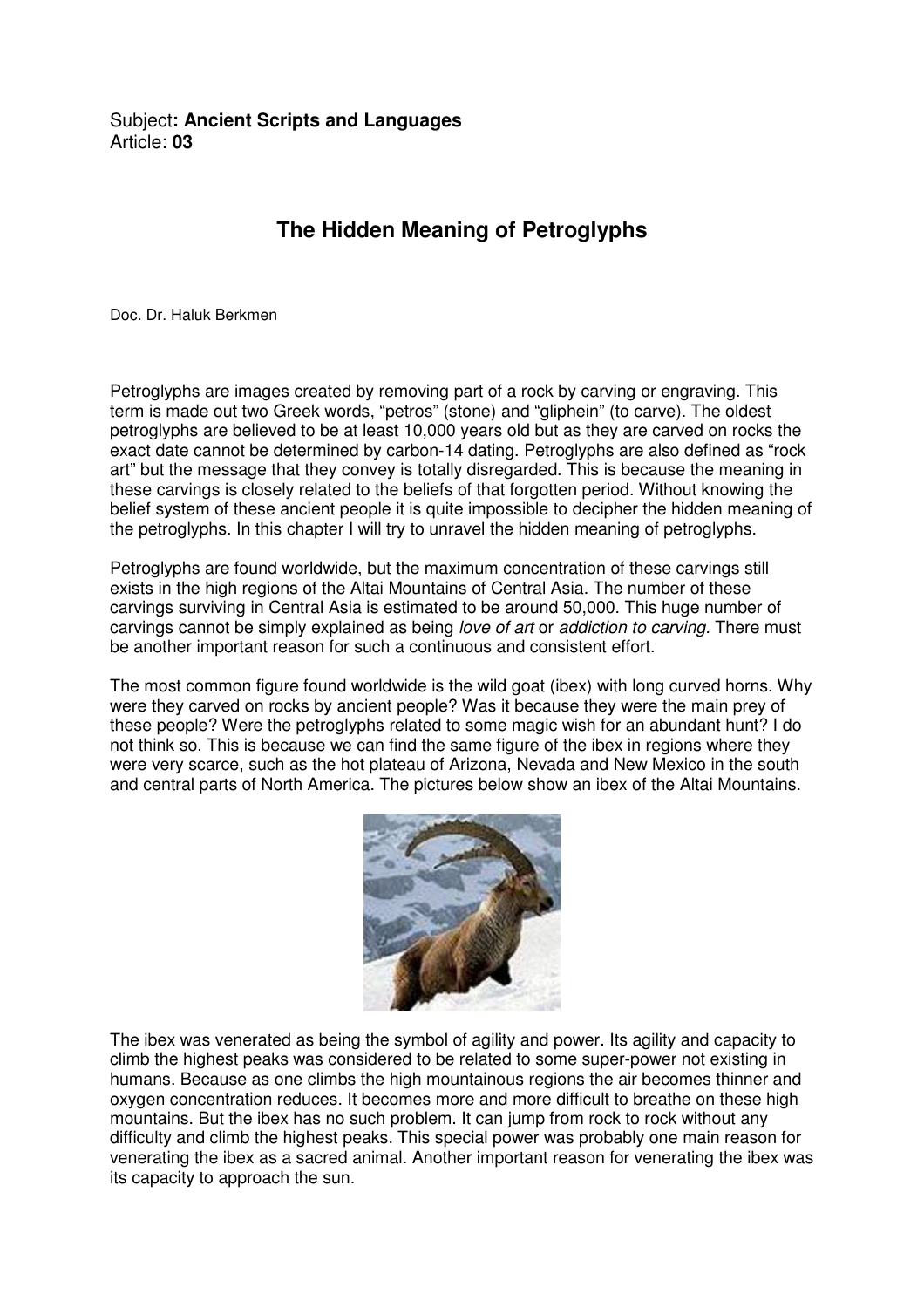## **The Hidden Meaning of Petroglyphs**

Doc. Dr. Haluk Berkmen

Petroglyphs are images created by removing part of a rock by carving or engraving. This term is made out two Greek words, "petros" (stone) and "gliphein" (to carve). The oldest petroglyphs are believed to be at least 10,000 years old but as they are carved on rocks the exact date cannot be determined by carbon-14 dating. Petroglyphs are also defined as "rock art" but the message that they convey is totally disregarded. This is because the meaning in these carvings is closely related to the beliefs of that forgotten period. Without knowing the belief system of these ancient people it is quite impossible to decipher the hidden meaning of the petroglyphs. In this chapter I will try to unravel the hidden meaning of petroglyphs.

Petroglyphs are found worldwide, but the maximum concentration of these carvings still exists in the high regions of the Altai Mountains of Central Asia. The number of these carvings surviving in Central Asia is estimated to be around 50,000. This huge number of carvings cannot be simply explained as being *love of art* or *addiction to carving*. There must be another important reason for such a continuous and consistent effort.

The most common figure found worldwide is the wild goat (ibex) with long curved horns. Why were they carved on rocks by ancient people? Was it because they were the main prey of these people? Were the petroglyphs related to some magic wish for an abundant hunt? I do not think so. This is because we can find the same figure of the ibex in regions where they were very scarce, such as the hot plateau of Arizona, Nevada and New Mexico in the south and central parts of North America. The pictures below show an ibex of the Altai Mountains.



The ibex was venerated as being the symbol of agility and power. Its agility and capacity to climb the highest peaks was considered to be related to some super-power not existing in humans. Because as one climbs the high mountainous regions the air becomes thinner and oxygen concentration reduces. It becomes more and more difficult to breathe on these high mountains. But the ibex has no such problem. It can jump from rock to rock without any difficulty and climb the highest peaks. This special power was probably one main reason for venerating the ibex as a sacred animal. Another important reason for venerating the ibex was its capacity to approach the sun.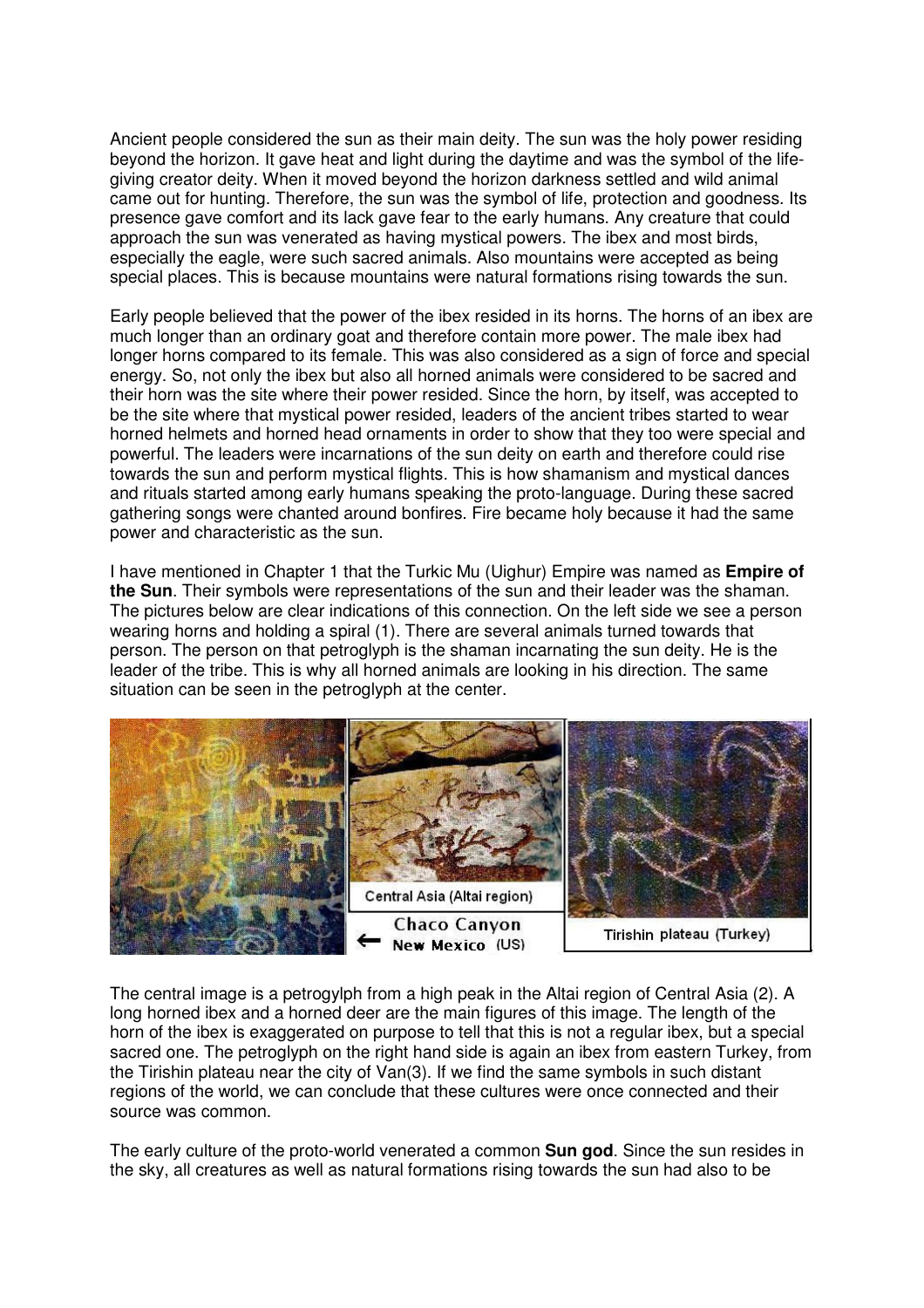Ancient people considered the sun as their main deity. The sun was the holy power residing beyond the horizon. It gave heat and light during the daytime and was the symbol of the lifegiving creator deity. When it moved beyond the horizon darkness settled and wild animal came out for hunting. Therefore, the sun was the symbol of life, protection and goodness. Its presence gave comfort and its lack gave fear to the early humans. Any creature that could approach the sun was venerated as having mystical powers. The ibex and most birds, especially the eagle, were such sacred animals. Also mountains were accepted as being special places. This is because mountains were natural formations rising towards the sun.

Early people believed that the power of the ibex resided in its horns. The horns of an ibex are much longer than an ordinary goat and therefore contain more power. The male ibex had longer horns compared to its female. This was also considered as a sign of force and special energy. So, not only the ibex but also all horned animals were considered to be sacred and their horn was the site where their power resided. Since the horn, by itself, was accepted to be the site where that mystical power resided, leaders of the ancient tribes started to wear horned helmets and horned head ornaments in order to show that they too were special and powerful. The leaders were incarnations of the sun deity on earth and therefore could rise towards the sun and perform mystical flights. This is how shamanism and mystical dances and rituals started among early humans speaking the proto-language. During these sacred gathering songs were chanted around bonfires. Fire became holy because it had the same power and characteristic as the sun.

I have mentioned in Chapter 1 that the Turkic Mu (Uighur) Empire was named as **Empire of the Sun**. Their symbols were representations of the sun and their leader was the shaman. The pictures below are clear indications of this connection. On the left side we see a person wearing horns and holding a spiral (1). There are several animals turned towards that person. The person on that petroglyph is the shaman incarnating the sun deity. He is the leader of the tribe. This is why all horned animals are looking in his direction. The same situation can be seen in the petroglyph at the center.



The central image is a petrogylph from a high peak in the Altai region of Central Asia (2). A long horned ibex and a horned deer are the main figures of this image. The length of the horn of the ibex is exaggerated on purpose to tell that this is not a regular ibex, but a special sacred one. The petroglyph on the right hand side is again an ibex from eastern Turkey, from the Tirishin plateau near the city of Van(3). If we find the same symbols in such distant regions of the world, we can conclude that these cultures were once connected and their source was common.

The early culture of the proto-world venerated a common **Sun god**. Since the sun resides in the sky, all creatures as well as natural formations rising towards the sun had also to be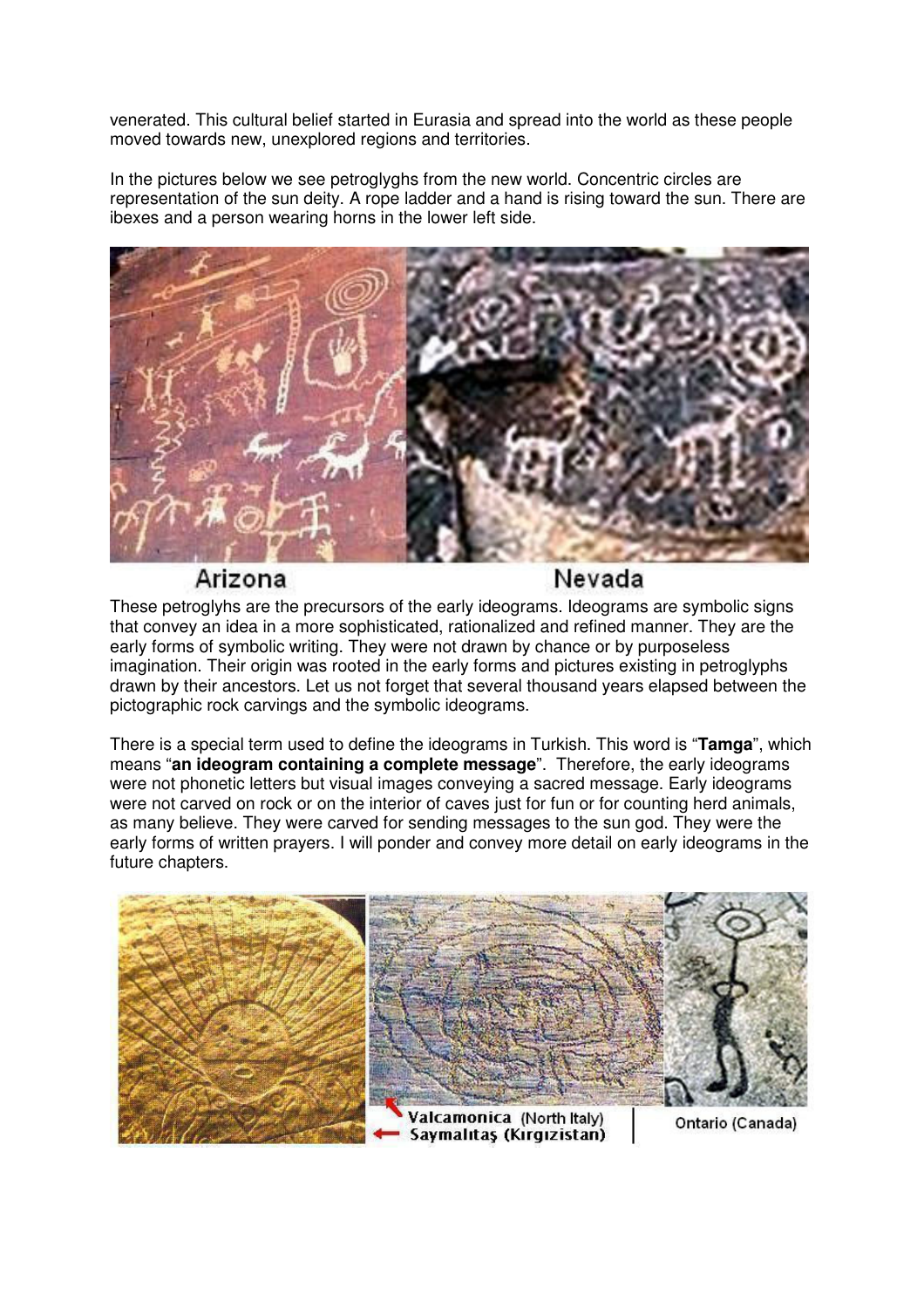venerated. This cultural belief started in Eurasia and spread into the world as these people moved towards new, unexplored regions and territories.

In the pictures below we see petroglyghs from the new world. Concentric circles are representation of the sun deity. A rope ladder and a hand is rising toward the sun. There are ibexes and a person wearing horns in the lower left side.



Arizona

Nevada

These petroglyhs are the precursors of the early ideograms. Ideograms are symbolic signs that convey an idea in a more sophisticated, rationalized and refined manner. They are the early forms of symbolic writing. They were not drawn by chance or by purposeless imagination. Their origin was rooted in the early forms and pictures existing in petroglyphs drawn by their ancestors. Let us not forget that several thousand years elapsed between the pictographic rock carvings and the symbolic ideograms.

There is a special term used to define the ideograms in Turkish. This word is "**Tamga**", which means "**an ideogram containing a complete message**". Therefore, the early ideograms were not phonetic letters but visual images conveying a sacred message. Early ideograms were not carved on rock or on the interior of caves just for fun or for counting herd animals, as many believe. They were carved for sending messages to the sun god. They were the early forms of written prayers. I will ponder and convey more detail on early ideograms in the future chapters.